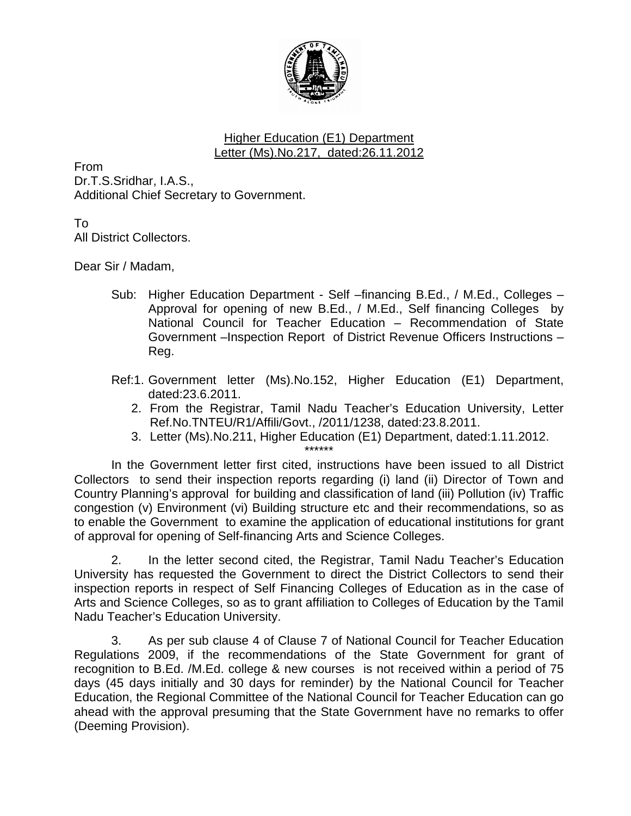

## Higher Education (E1) Department Letter (Ms).No.217, dated:26.11.2012

From Dr.T.S.Sridhar, I.A.S., Additional Chief Secretary to Government.

To

All District Collectors.

Dear Sir / Madam,

- Sub: Higher Education Department Self –financing B.Ed., / M.Ed., Colleges Approval for opening of new B.Ed., / M.Ed., Self financing Colleges by National Council for Teacher Education – Recommendation of State Government –Inspection Report of District Revenue Officers Instructions – Reg.
- Ref:1. Government letter (Ms).No.152, Higher Education (E1) Department, dated:23.6.2011.
	- 2. From the Registrar, Tamil Nadu Teacher's Education University, Letter Ref.No.TNTEU/R1/Affili/Govt., /2011/1238, dated:23.8.2011.
	- 3. Letter (Ms).No.211, Higher Education (E1) Department, dated:1.11.2012.

\*\*\*\*\*\* In the Government letter first cited, instructions have been issued to all District Collectors to send their inspection reports regarding (i) land (ii) Director of Town and Country Planning's approval for building and classification of land (iii) Pollution (iv) Traffic congestion (v) Environment (vi) Building structure etc and their recommendations, so as to enable the Government to examine the application of educational institutions for grant of approval for opening of Self-financing Arts and Science Colleges.

 2. In the letter second cited, the Registrar, Tamil Nadu Teacher's Education University has requested the Government to direct the District Collectors to send their inspection reports in respect of Self Financing Colleges of Education as in the case of Arts and Science Colleges, so as to grant affiliation to Colleges of Education by the Tamil Nadu Teacher's Education University.

3. As per sub clause 4 of Clause 7 of National Council for Teacher Education Regulations 2009, if the recommendations of the State Government for grant of recognition to B.Ed. /M.Ed. college & new courses is not received within a period of 75 days (45 days initially and 30 days for reminder) by the National Council for Teacher Education, the Regional Committee of the National Council for Teacher Education can go ahead with the approval presuming that the State Government have no remarks to offer (Deeming Provision).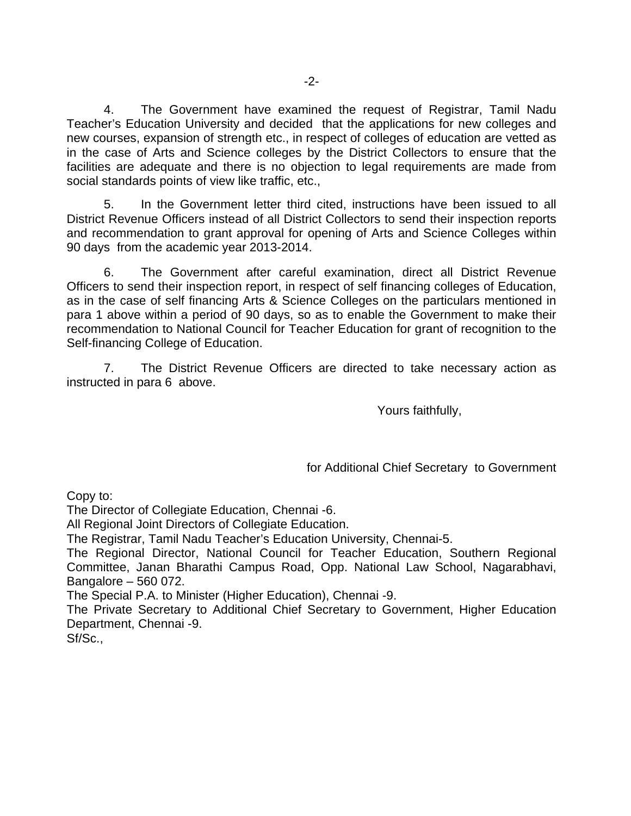4. The Government have examined the request of Registrar, Tamil Nadu Teacher's Education University and decided that the applications for new colleges and new courses, expansion of strength etc., in respect of colleges of education are vetted as in the case of Arts and Science colleges by the District Collectors to ensure that the facilities are adequate and there is no objection to legal requirements are made from social standards points of view like traffic, etc.,

 5. In the Government letter third cited, instructions have been issued to all District Revenue Officers instead of all District Collectors to send their inspection reports and recommendation to grant approval for opening of Arts and Science Colleges within 90 days from the academic year 2013-2014.

6. The Government after careful examination, direct all District Revenue Officers to send their inspection report, in respect of self financing colleges of Education, as in the case of self financing Arts & Science Colleges on the particulars mentioned in para 1 above within a period of 90 days, so as to enable the Government to make their recommendation to National Council for Teacher Education for grant of recognition to the Self-financing College of Education.

7. The District Revenue Officers are directed to take necessary action as instructed in para 6 above.

Yours faithfully,

for Additional Chief Secretary to Government

Copy to:

The Director of Collegiate Education, Chennai -6.

All Regional Joint Directors of Collegiate Education.

The Registrar, Tamil Nadu Teacher's Education University, Chennai-5.

The Regional Director, National Council for Teacher Education, Southern Regional Committee, Janan Bharathi Campus Road, Opp. National Law School, Nagarabhavi, Bangalore – 560 072.

The Special P.A. to Minister (Higher Education), Chennai -9.

The Private Secretary to Additional Chief Secretary to Government, Higher Education Department, Chennai -9.

Sf/Sc.,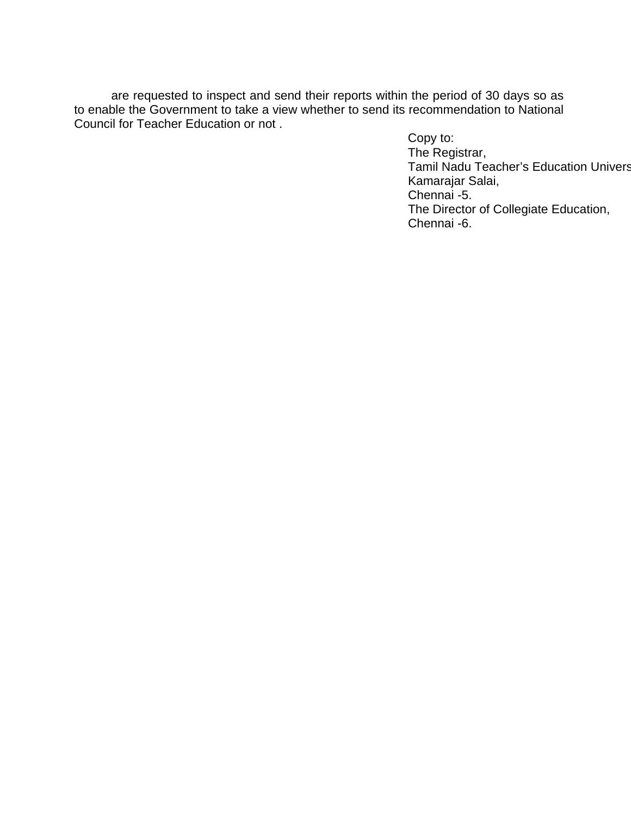are requested to inspect and send their reports within the period of 30 days so as to enable the Government to take a view whether to send its recommendation to National Council for Teacher Education or not .

Copy to: The Registrar, Tamil Nadu Teacher's Education Univers Kamarajar Salai, Chennai -5. The Director of Collegiate Education, Chennai -6.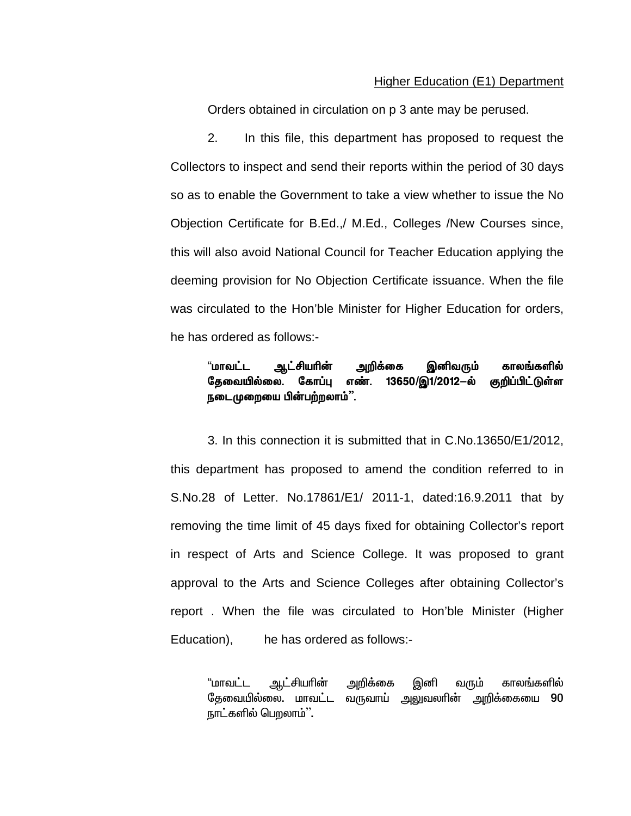## Higher Education (E1) Department

Orders obtained in circulation on p 3 ante may be perused.

2. In this file, this department has proposed to request the Collectors to inspect and send their reports within the period of 30 days so as to enable the Government to take a view whether to issue the No Objection Certificate for B.Ed.,/ M.Ed., Colleges /New Courses since, this will also avoid National Council for Teacher Education applying the deeming provision for No Objection Certificate issuance. When the file was circulated to the Hon'ble Minister for Higher Education for orders, he has ordered as follows:-

## "மாவட்ட ஆட்சியரின் அறிக்கை இனிவரும் காலங்களில் தேவையில்லை. கோப்பு எண். 13650/இ1/2012-ல் குறிப்பிட்டுள்ள நடைமுறையை பின்பற்றலாம்".

3. In this connection it is submitted that in C.No.13650/E1/2012, this department has proposed to amend the condition referred to in S.No.28 of Letter. No.17861/E1/ 2011-1, dated:16.9.2011 that by removing the time limit of 45 days fixed for obtaining Collector's report in respect of Arts and Science College. It was proposed to grant approval to the Arts and Science Colleges after obtaining Collector's report . When the file was circulated to Hon'ble Minister (Higher Education), he has ordered as follows:-

"மாவட்ட ஆட்சியாின் அறிக்கை இனி வரும் காலங்களில் தேவையில்லை. மாவட்ட வருவாய் அலுவலாின் அறிக்கையை  $90\,$ நாட்களில் பெறலாம்''.